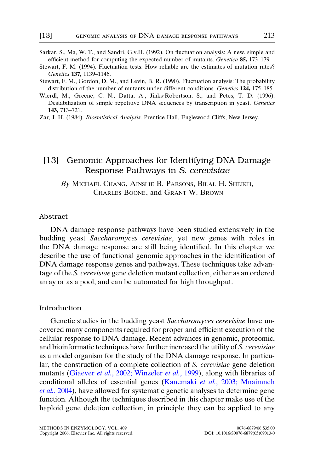- 
- Sarkar, S., Ma, W. T., and Sandri, G.v.H. (1992). On fluctuation analysis: A new, simple and efficient method for computing the expected number of mutants. *Genetica* 85, 173–179.
- Stewart, F. M. (1994). Fluctuation tests: How reliable are the estimates of mutation rates? Genetics 137, 1139–1146.
- Stewart, F. M., Gordon, D. M., and Levin, B. R. (1990). Fluctuation analysis: The probability distribution of the number of mutants under different conditions. Genetics 124, 175–185.
- Wierdl, M., Greene, C. N., Datta, A., Jinks-Robertson, S., and Petes, T. D. (1996). Destabilization of simple repetitive DNA sequences by transcription in yeast. Genetics 143, 713–721.

Zar, J. H. (1984). Biostatistical Analysis. Prentice Hall, Englewood Cliffs, New Jersey.

# [13] Genomic Approaches for Identifying DNA Damage Response Pathways in S. cerevisiae

# By MICHAEL CHANG, AINSLIE B. PARSONS, BILAL H. SHEIKH, CHARLES BOONE, and GRANT W. BROWN

## Abstract

DNA damage response pathways have been studied extensively in the budding yeast Saccharomyces cerevisiae, yet new genes with roles in the DNA damage response are still being identified. In this chapter we describe the use of functional genomic approaches in the identification of DNA damage response genes and pathways. These techniques take advantage of the S. cerevisiae gene deletion mutant collection, either as an ordered array or as a pool, and can be automated for high throughput.

#### Introduction

Genetic studies in the budding yeast Saccharomyces cerevisiae have uncovered many components required for proper and efficient execution of the cellular response to DNA damage. Recent advances in genomic, proteomic, and bioinformatic techniques have further increased the utility of S. cerevisiae as a model organism for the study of the DNA damage response. In particular, the construction of a complete collection of S. cerevisiae gene deletion mutants (Giaever *et al.*[, 2002; Winzeler](#page-21-0) *et al.*, 1999), along with libraries of conditional alleles of essential genes (Kanemaki et al.[, 2003; Mnaimneh](#page-21-0) et al.[, 2004\)](#page-21-0), have allowed for systematic genetic analyses to determine gene function. Although the techniques described in this chapter make use of the haploid gene deletion collection, in principle they can be applied to any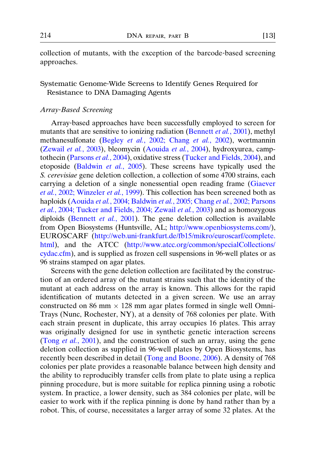collection of mutants, with the exception of the barcode‐based screening approaches.

# Systematic Genome‐Wide Screens to Identify Genes Required for Resistance to DNA Damaging Agents

## Array‐Based Screening

Array‐based approaches have been successfully employed to screen for mutants that are sensitive to ionizing radiation [\(Bennett](#page-20-0) et al., 2001), methyl methanesulfonate [\(Begley](#page-20-0) et al., 2002; Chang et al., 2002), wortmannin ([Zewail](#page-22-0) et al., 2003), bleomycin ([Aouida](#page-20-0) et al., 2004), hydroxyurea, camptothecin ([Parsons](#page-21-0) et al., 2004), oxidative stress [\(Tucker](#page-22-0) and Fields, 2004), and etoposide [\(Baldwin](#page-20-0) et al., 2005). These screens have typically used the S. cerevisiae gene deletion collection, a collection of some 4700 strains, each carrying a deletion of a single nonessential open reading frame [\(Giaever](#page-21-0) et al., 2002; [Winzeler](#page-21-0) et al., 1999). This collection has been screened both as haploids (Aouida et al., 2004; [Baldwin](#page-20-0) et al., 2005; Chang et al., 2002; Parsons et al., 2004; [Tucker](#page-20-0) and Fields, 2004; Zewail et al., 2003) and as homozygous diploids [\(Bennett](#page-20-0) et al., 2001). The gene deletion collection is available from Open Biosystems (Huntsville, AL; <http://www.openbiosystems.com/>), EUROSCARF (http://web.uni‐[frankfurt.de/fb15/mikro/euroscarf/complete.](http://web.uni-frankfurt.de/fb15/mikro/euroscarf/complete.html) [html\)](http://web.uni-frankfurt.de/fb15/mikro/euroscarf/complete.html), and the ATCC [\(http://www.atcc.org/common/specialCollections/](http://www.atcc.org/common/specialCollections/cydac.cfm) [cydac.cfm](http://www.atcc.org/common/specialCollections/cydac.cfm)), and is supplied as frozen cell suspensions in 96‐well plates or as 96 strains stamped on agar plates.

Screens with the gene deletion collection are facilitated by the construction of an ordered array of the mutant strains such that the identity of the mutant at each address on the array is known. This allows for the rapid identification of mutants detected in a given screen. We use an array constructed on 86 mm  $\times$  128 mm agar plates formed in single well Omni-Trays (Nunc, Rochester, NY), at a density of 768 colonies per plate. With each strain present in duplicate, this array occupies 16 plates. This array was originally designed for use in synthetic genetic interaction screens (Tong et al.[, 2001](#page-22-0)), and the construction of such an array, using the gene deletion collection as supplied in 96‐well plates by Open Biosystems, has recently been described in detail [\(Tong and Boone, 2006](#page-22-0)). A density of 768 colonies per plate provides a reasonable balance between high density and the ability to reproducibly transfer cells from plate to plate using a replica pinning procedure, but is more suitable for replica pinning using a robotic system. In practice, a lower density, such as 384 colonies per plate, will be easier to work with if the replica pinning is done by hand rather than by a robot. This, of course, necessitates a larger array of some 32 plates. At the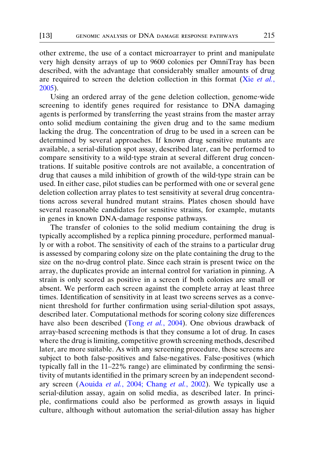other extreme, the use of a contact microarrayer to print and manipulate very high density arrays of up to 9600 colonies per OmniTray has been described, with the advantage that considerably smaller amounts of drug are required to screen the deletion collection in this format (Xie [et al.](#page-22-0), [2005\)](#page-22-0).

Using an ordered array of the gene deletion collection, genome‐wide screening to identify genes required for resistance to DNA damaging agents is performed by transferring the yeast strains from the master array onto solid medium containing the given drug and to the same medium lacking the drug. The concentration of drug to be used in a screen can be determined by several approaches. If known drug sensitive mutants are available, a serial‐dilution spot assay, described later, can be performed to compare sensitivity to a wild-type strain at several different drug concentrations. If suitable positive controls are not available, a concentration of drug that causes a mild inhibition of growth of the wild‐type strain can be used. In either case, pilot studies can be performed with one or several gene deletion collection array plates to test sensitivity at several drug concentrations across several hundred mutant strains. Plates chosen should have several reasonable candidates for sensitive strains, for example, mutants in genes in known DNA‐damage response pathways.

The transfer of colonies to the solid medium containing the drug is typically accomplished by a replica pinning procedure, performed manually or with a robot. The sensitivity of each of the strains to a particular drug is assessed by comparing colony size on the plate containing the drug to the size on the no‐drug control plate. Since each strain is present twice on the array, the duplicates provide an internal control for variation in pinning. A strain is only scored as positive in a screen if both colonies are small or absent. We perform each screen against the complete array at least three times. Identification of sensitivity in at least two screens serves as a convenient threshold for further confirmation using serial‐dilution spot assays, described later. Computational methods for scoring colony size differences have also been described (Tong et al.[, 2004](#page-22-0)). One obvious drawback of array‐based screening methods is that they consume a lot of drug. In cases where the drug is limiting, competitive growth screening methods, described later, are more suitable. As with any screening procedure, these screens are subject to both false-positives and false-negatives. False-positives (which typically fall in the 11–22% range) are eliminated by confirming the sensitivity of mutants identified in the primary screen by an independent secondary screen (Aouida et al.[, 2004; Chang](#page-20-0) et al., 2002). We typically use a serial-dilution assay, again on solid media, as described later. In principle, confirmations could also be performed as growth assays in liquid culture, although without automation the serial‐dilution assay has higher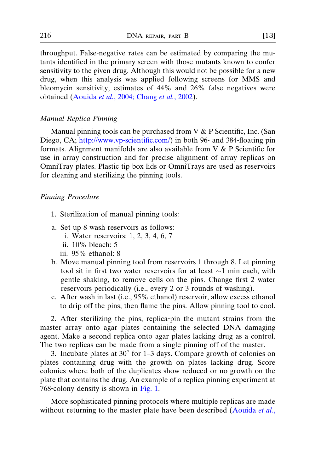throughput. False‐negative rates can be estimated by comparing the mutants identified in the primary screen with those mutants known to confer sensitivity to the given drug. Although this would not be possible for a new drug, when this analysis was applied following screens for MMS and bleomycin sensitivity, estimates of 44% and 26% false negatives were obtained ([Aouida](#page-20-0) et al., 2004; Chang et al., 2002).

# Manual Replica Pinning

Manual pinning tools can be purchased from  $V & P$  Scientific, Inc. (San Diego, CA; http://www.vp-[scientific.com/](http://www.vp-scientific.com/)) in both 96- and 384-floating pin formats. Alignment manifolds are also available from V & P Scientific for use in array construction and for precise alignment of array replicas on OmniTray plates. Plastic tip box lids or OmniTrays are used as reservoirs for cleaning and sterilizing the pinning tools.

# Pinning Procedure

- 1. Sterilization of manual pinning tools:
- a. Set up 8 wash reservoirs as follows:
	- i. Water reservoirs: 1, 2, 3, 4, 6, 7
	- ii. 10% bleach: 5
	- iii. 95% ethanol: 8
- b. Move manual pinning tool from reservoirs 1 through 8. Let pinning tool sit in first two water reservoirs for at least  $\sim$ 1 min each, with gentle shaking, to remove cells on the pins. Change first 2 water reservoirs periodically (i.e., every 2 or 3 rounds of washing).
- c. After wash in last (i.e., 95% ethanol) reservoir, allow excess ethanol to drip off the pins, then flame the pins. Allow pinning tool to cool.

2. After sterilizing the pins, replica-pin the mutant strains from the master array onto agar plates containing the selected DNA damaging agent. Make a second replica onto agar plates lacking drug as a control. The two replicas can be made from a single pinning off of the master.

3. Incubate plates at  $30^{\circ}$  for 1–3 days. Compare growth of colonies on plates containing drug with the growth on plates lacking drug. Score colonies where both of the duplicates show reduced or no growth on the plate that contains the drug. An example of a replica pinning experiment at 768-colony density is shown in [Fig. 1.](#page-4-0)

More sophisticated pinning protocols where multiple replicas are made without returning to the master plate have been described ([Aouida](#page-20-0) et al.,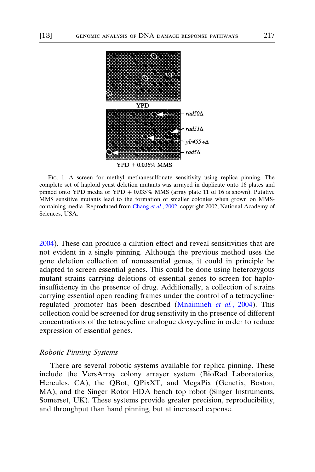<span id="page-4-0"></span>

FIG. 1. A screen for methyl methanesulfonate sensitivity using replica pinning. The complete set of haploid yeast deletion mutants was arrayed in duplicate onto 16 plates and pinned onto YPD media or YPD  $+$  0.035% MMS (array plate 11 of 16 is shown). Putative MMS sensitive mutants lead to the formation of smaller colonies when grown on MMS‐ containing media. Reproduced from [Chang](#page-20-0) et al., 2002, copyright 2002, National Academy of Sciences, USA.

[2004\)](#page-20-0). These can produce a dilution effect and reveal sensitivities that are not evident in a single pinning. Although the previous method uses the gene deletion collection of nonessential genes, it could in principle be adapted to screen essential genes. This could be done using heterozygous mutant strains carrying deletions of essential genes to screen for haploinsufficiency in the presence of drug. Additionally, a collection of strains carrying essential open reading frames under the control of a tetracycline‐ regulated promoter has been described [\(Mnaimneh](#page-21-0) et al., 2004). This collection could be screened for drug sensitivity in the presence of different concentrations of the tetracycline analogue doxycycline in order to reduce expression of essential genes.

#### Robotic Pinning Systems

There are several robotic systems available for replica pinning. These include the VersArray colony arrayer system (BioRad Laboratories, Hercules, CA), the QBot, QPixXT, and MegaPix (Genetix, Boston, MA), and the Singer Rotor HDA bench top robot (Singer Instruments, Somerset, UK). These systems provide greater precision, reproducibility, and throughput than hand pinning, but at increased expense.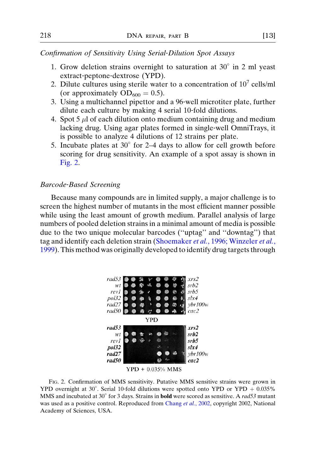Confirmation of Sensitivity Using Serial‐Dilution Spot Assays

- 1. Grow deletion strains overnight to saturation at  $30^{\circ}$  in 2 ml yeast extract‐peptone‐dextrose (YPD).
- 2. Dilute cultures using sterile water to a concentration of  $10^7$  cells/ml (or approximately  $OD_{600} = 0.5$ ).
- 3. Using a multichannel pipettor and a 96‐well microtiter plate, further dilute each culture by making 4 serial 10‐fold dilutions.
- 4. Spot 5  $\mu$ l of each dilution onto medium containing drug and medium lacking drug. Using agar plates formed in single‐well OmniTrays, it is possible to analyze 4 dilutions of 12 strains per plate.
- 5. Incubate plates at  $30^{\circ}$  for 2–4 days to allow for cell growth before scoring for drug sensitivity. An example of a spot assay is shown in Fig. 2.

## Barcode‐Based Screening

Because many compounds are in limited supply, a major challenge is to screen the highest number of mutants in the most efficient manner possible while using the least amount of growth medium. Parallel analysis of large numbers of pooled deletion strains in a minimal amount of media is possible due to the two unique molecular barcodes (''uptag'' and ''downtag'') that tag and identify each deletion strain (Shoemaker et al.[, 1996; Winzeler](#page-22-0) et al., [1999\)](#page-22-0). This method was originally developed to identify drug targets through



 $YPD + 0.035\%$  MMS

FIG. 2. Confirmation of MMS sensitivity. Putative MMS sensitive strains were grown in YPD overnight at 30°. Serial 10-fold dilutions were spotted onto YPD or YPD  $+0.035\%$ MMS and incubated at 30 $\degree$  for 3 days. Strains in **bold** were scored as sensitive. A rad53 mutant was used as a positive control. Reproduced from [Chang](#page-20-0) et al., 2002, copyright 2002, National Academy of Sciences, USA.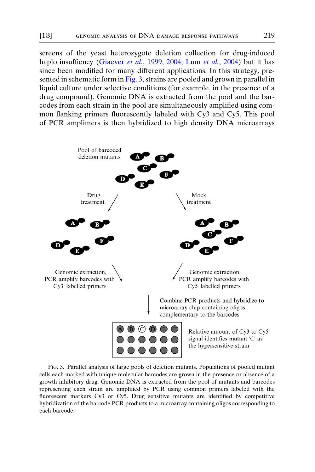screens of the yeast heterozygote deletion collection for drug-induced haplo-insuffiency (Giaever et al.[, 1999, 2004; Lum](#page-21-0) et al., 2004) but it has since been modified for many different applications. In this strategy, presented in schematic form in Fig. 3, strains are pooled and grown in parallel in liquid culture under selective conditions (for example, in the presence of a drug compound). Genomic DNA is extracted from the pool and the barcodes from each strain in the pool are simultaneously amplified using common flanking primers fluorescently labeled with Cy3 and Cy5. This pool of PCR amplimers is then hybridized to high density DNA microarrays



FIG. 3. Parallel analysis of large pools of deletion mutants. Populations of pooled mutant cells each marked with unique molecular barcodes are grown in the presence or absence of a growth inhibitory drug. Genomic DNA is extracted from the pool of mutants and barcodes representing each strain are amplified by PCR using common primers labeled with the fluorescent markers Cy3 or Cy5. Drug sensitive mutants are identified by competitive hybridization of the barcode PCR products to a microarray containing oligos corresponding to each barcode.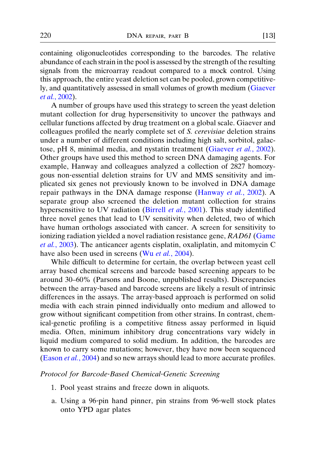containing oligonucleotides corresponding to the barcodes. The relative abundance of each strain in the pool is assessed by the strength of the resulting signals from the microarray readout compared to a mock control. Using this approach, the entire yeast deletion set can be pooled, grown competitive-ly, and quantitatively assessed in small volumes of growth medium [\(Giaever](#page-21-0) et al.[, 2002\)](#page-21-0).

A number of groups have used this strategy to screen the yeast deletion mutant collection for drug hypersensitivity to uncover the pathways and cellular functions affected by drug treatment on a global scale. Giaever and colleagues profiled the nearly complete set of S. cerevisiae deletion strains under a number of different conditions including high salt, sorbitol, galac-tose, pH 8, minimal media, and nystatin treatment ([Giaever](#page-21-0) et al., 2002). Other groups have used this method to screen DNA damaging agents. For example, Hanway and colleagues analyzed a collection of 2827 homozygous non‐essential deletion strains for UV and MMS sensitivity and implicated six genes not previously known to be involved in DNA damage repair pathways in the DNA damage response [\(Hanway](#page-21-0) et al., 2002). A separate group also screened the deletion mutant collection for strains hypersensitive to UV radiation [\(Birrell](#page-20-0) et al., 2001). This study identified three novel genes that lead to UV sensitivity when deleted, two of which have human orthologs associated with cancer. A screen for sensitivity to ionizing radiation yielded a novel radiation resistance gene, RAD61 [\(Game](#page-20-0) et al.[, 2003](#page-20-0)). The anticancer agents cisplatin, oxaliplatin, and mitomycin C have also been used in screens (Wu et al.[, 2004\)](#page-22-0).

While difficult to determine for certain, the overlap between yeast cell array based chemical screens and barcode based screening appears to be around 30–60% (Parsons and Boone, unpublished results). Discrepancies between the array‐based and barcode screens are likely a result of intrinsic differences in the assays. The array‐based approach is performed on solid media with each strain pinned individually onto medium and allowed to grow without significant competition from other strains. In contrast, chemical‐genetic profiling is a competitive fitness assay performed in liquid media. Often, minimum inhibitory drug concentrations vary widely in liquid medium compared to solid medium. In addition, the barcodes are known to carry some mutations; however, they have now been sequenced ([Eason](#page-20-0) *et al.*, 2004) and so new arrays should lead to more accurate profiles.

## Protocol for Barcode‐Based Chemical‐Genetic Screening

- 1. Pool yeast strains and freeze down in aliquots.
- a. Using a 96‐pin hand pinner, pin strains from 96‐well stock plates onto YPD agar plates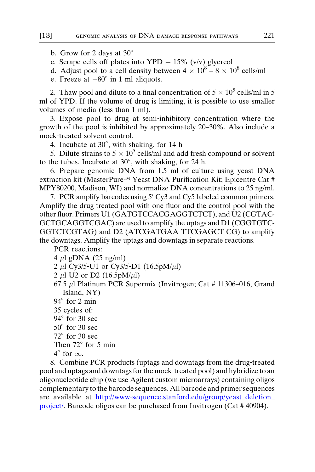b. Grow for 2 days at 30°

- c. Scrape cells off plates into  $YPD + 15\%$  (v/v) glyercol
- d. Adjust pool to a cell density between  $4 \times 10^8 8 \times 10^8$  cells/ml

e. Freeze at  $-80^\circ$  in 1 ml aliquots.

2. Thaw pool and dilute to a final concentration of  $5 \times 10^5$  cells/ml in 5 ml of YPD. If the volume of drug is limiting, it is possible to use smaller volumes of media (less than 1 ml).

3. Expose pool to drug at semi‐inhibitory concentration where the growth of the pool is inhibited by approximately 20–30%. Also include a mock‐treated solvent control.

4. Incubate at 30 , with shaking, for 14 h

5. Dilute strains to  $5 \times 10^5$  cells/ml and add fresh compound or solvent to the tubes. Incubate at  $30^{\circ}$ , with shaking, for 24 h.

6. Prepare genomic DNA from 1.5 ml of culture using yeast DNA extraction kit (MasterPure<sup>™</sup> Yeast DNA Purification Kit; Epicentre Cat # MPY80200, Madison, WI) and normalize DNA concentrations to 25 ng/ml.

7. PCR amplify barcodes using  $5'$  Cy3 and Cy5 labeled common primers. Amplify the drug treated pool with one fluor and the control pool with the other fluor. Primers U1 (GATGTCCACGAGGTCTCT), and U2 (CGTAC-GCTGCAGGTCGAC) are used to amplify the uptags and D1 (CGGTGTC-GGTCTCGTAG) and D2 (ATCGATGAA TTCGAGCT CG) to amplify the downtags. Amplify the uptags and downtags in separate reactions.

PCR reactions:

 $4 \mu l$  gDNA (25 ng/ml)

2  $\mu$ l Cy3/5-U1 or Cy3/5-D1 (16.5pM/ $\mu$ l)

2  $\mu$ l U2 or D2 (16.5pM/ $\mu$ l)

- 67.5  $\mu$ l Platinum PCR Supermix (Invitrogen; Cat # 11306–016, Grand Island, NY)
- $94^\circ$  for 2 min
- 35 cycles of:
- $94^\circ$  for 30 sec
- $50^{\circ}$  for 30 sec
- $72^{\circ}$  for 30 sec
- Then  $72^{\circ}$  for 5 min
- $4^\circ$  for  $\infty$ .

8. Combine PCR products (uptags and downtags from the drug‐treated pool and uptags and downtags for the mock‐treated pool) and hybridize to an oligonucleotide chip (we use Agilent custom microarrays) containing oligos complementary to the barcode sequences. All barcode and primer sequences are available at http://www‐[sequence.stanford.edu/group/yeast\\_deletion\\_](http://www.sequence.stanford.edu/group/yeast_deletion_project/) [project/](http://www.sequence.stanford.edu/group/yeast_deletion_project/). Barcode oligos can be purchased from Invitrogen (Cat # 40904).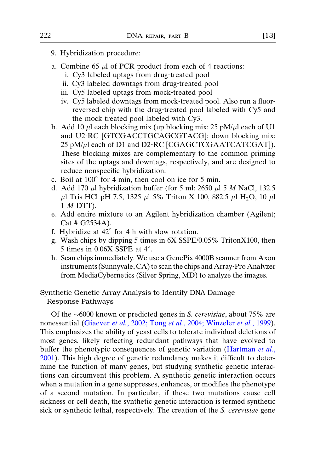- 9. Hybridization procedure:
- a. Combine 65  $\mu$ l of PCR product from each of 4 reactions:
	- i. Cy3 labeled uptags from drug‐treated pool
	- ii. Cy3 labeled downtags from drug‐treated pool
	- iii. Cy5 labeled uptags from mock‐treated pool
	- iv. Cy5 labeled downtags from mock‐treated pool. Also run a fluor‐ reversed chip with the drug-treated pool labeled with Cy5 and the mock treated pool labeled with Cy3.
- b. Add 10  $\mu$ l each blocking mix (up blocking mix: 25 pM/ $\mu$ l each of U1 and U2‐RC [GTCGACCTGCAGCGTACG]; down blocking mix: 25 pM/ $\mu$ l each of D1 and D2-RC [CGAGCTCGAATCATCGAT]). These blocking mixes are complementary to the common priming sites of the uptags and downtags, respectively, and are designed to reduce nonspecific hybridization.
- c. Boil at  $100^{\circ}$  for 4 min, then cool on ice for 5 min.
- d. Add 170  $\mu$ l hybridization buffer (for 5 ml: 2650  $\mu$ 1 5 M NaCl, 132.5  $\mu$ l Tris-HCl pH 7.5, 1325  $\mu$ l 5% Triton X-100, 882.5  $\mu$ l H<sub>2</sub>O, 10  $\mu$ l 1 M DTT).
- e. Add entire mixture to an Agilent hybridization chamber (Agilent; Cat # G2534A).
- f. Hybridize at  $42^{\circ}$  for 4 h with slow rotation.
- g. Wash chips by dipping 5 times in 6X SSPE/0.05% TritonX100, then 5 times in 0.06X SSPE at 4 .
- h. Scan chips immediately. We use a GenePix 4000B scanner from Axon instruments (Sunnyvale, CA) to scan the chips and Array‐Pro Analyzer from MediaCybernetics (Silver Spring, MD) to analyze the images.

# Synthetic Genetic Array Analysis to Identify DNA Damage Response Pathways

Of the  $\sim$  6000 known or predicted genes in *S. cerevisiae*, about 75% are nonessential (Giaever et al., 2002; Tong et al.[, 2004; Winzeler](#page-21-0) et al., 1999). This emphasizes the ability of yeast cells to tolerate individual deletions of most genes, likely reflecting redundant pathways that have evolved to buffer the phenotypic consequences of genetic variation ([Hartman](#page-21-0) et al., [2001\)](#page-21-0). This high degree of genetic redundancy makes it difficult to determine the function of many genes, but studying synthetic genetic interactions can circumvent this problem. A synthetic genetic interaction occurs when a mutation in a gene suppresses, enhances, or modifies the phenotype of a second mutation. In particular, if these two mutations cause cell sickness or cell death, the synthetic genetic interaction is termed synthetic sick or synthetic lethal, respectively. The creation of the S. cerevisiae gene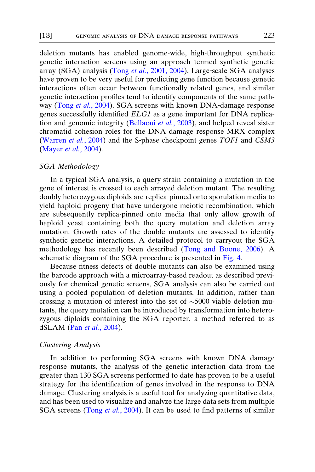deletion mutants has enabled genome‐wide, high‐throughput synthetic genetic interaction screens using an approach termed synthetic genetic array (SGA) analysis (Tong et al.[, 2001, 2004\)](#page-22-0). Large-scale SGA analyses have proven to be very useful for predicting gene function because genetic interactions often occur between functionally related genes, and similar genetic interaction profiles tend to identify components of the same path-way (Tong et al.[, 2004](#page-22-0)). SGA screens with known DNA-damage response genes successfully identified ELG1 as a gene important for DNA replication and genomic integrity ([Bellaoui](#page-20-0) et al., 2003), and helped reveal sister chromatid cohesion roles for the DNA damage response MRX complex ([Warren](#page-22-0) et al., 2004) and the S-phase checkpoint genes  $TOF1$  and  $CSM3$ ([Mayer](#page-21-0) et al., 2004).

#### SGA Methodology

In a typical SGA analysis, a query strain containing a mutation in the gene of interest is crossed to each arrayed deletion mutant. The resulting doubly heterozygous diploids are replica‐pinned onto sporulation media to yield haploid progeny that have undergone meiotic recombination, which are subsequently replica‐pinned onto media that only allow growth of haploid yeast containing both the query mutation and deletion array mutation. Growth rates of the double mutants are assessed to identify synthetic genetic interactions. A detailed protocol to carryout the SGA methodology has recently been described (Tong and [Boone,](#page-22-0) 2006). A schematic diagram of the SGA procedure is presented in [Fig. 4](#page-11-0).

Because fitness defects of double mutants can also be examined using the barcode approach with a microarray‐based readout as described previously for chemical genetic screens, SGA analysis can also be carried out using a pooled population of deletion mutants. In addition, rather than crossing a mutation of interest into the set of  $\sim$ 5000 viable deletion mutants, the query mutation can be introduced by transformation into heterozygous diploids containing the SGA reporter, a method referred to as dSLAM (Pan et al.[, 2004\)](#page-21-0).

## Clustering Analysis

In addition to performing SGA screens with known DNA damage response mutants, the analysis of the genetic interaction data from the greater than 130 SGA screens performed to date has proven to be a useful strategy for the identification of genes involved in the response to DNA damage. Clustering analysis is a useful tool for analyzing quantitative data, and has been used to visualize and analyze the large data sets from multiple SGA screens (Tong et al.[, 2004](#page-22-0)). It can be used to find patterns of similar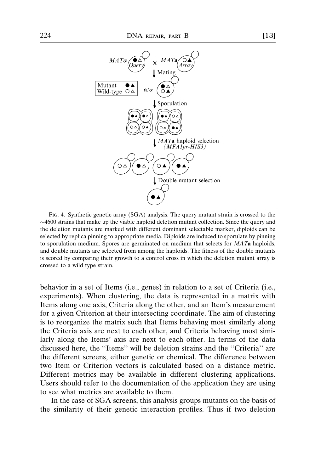<span id="page-11-0"></span>

FIG. 4. Synthetic genetic array (SGA) analysis. The query mutant strain is crossed to the  $\sim$ 4600 strains that make up the viable haploid deletion mutant collection. Since the query and the deletion mutants are marked with different dominant selectable marker, diploids can be selected by replica pinning to appropriate media. Diploids are induced to sporulate by pinning to sporulation medium. Spores are germinated on medium that selects for  $MATA$  haploids, and double mutants are selected from among the haploids. The fitness of the double mutants is scored by comparing their growth to a control cross in which the deletion mutant array is crossed to a wild type strain.

behavior in a set of Items (i.e., genes) in relation to a set of Criteria (i.e., experiments). When clustering, the data is represented in a matrix with Items along one axis, Criteria along the other, and an Item's measurement for a given Criterion at their intersecting coordinate. The aim of clustering is to reorganize the matrix such that Items behaving most similarly along the Criteria axis are next to each other, and Criteria behaving most similarly along the Items' axis are next to each other. In terms of the data discussed here, the ''Items'' will be deletion strains and the ''Criteria'' are the different screens, either genetic or chemical. The difference between two Item or Criterion vectors is calculated based on a distance metric. Different metrics may be available in different clustering applications. Users should refer to the documentation of the application they are using to see what metrics are available to them.

In the case of SGA screens, this analysis groups mutants on the basis of the similarity of their genetic interaction profiles. Thus if two deletion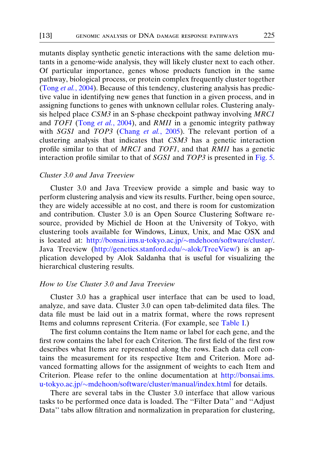mutants display synthetic genetic interactions with the same deletion mutants in a genome‐wide analysis, they will likely cluster next to each other. Of particular importance, genes whose products function in the same pathway, biological process, or protein complex frequently cluster together ([Tong](#page-22-0) et al., 2004). Because of this tendency, clustering analysis has predictive value in identifying new genes that function in a given process, and in assigning functions to genes with unknown cellular roles. Clustering analysis helped place CSM3 in an S-phase checkpoint pathway involving MRC1 and TOF1 [\(Tong](#page-22-0) et al., 2004), and RMI1 in a genomic integrity pathway with SGS1 and TOP3 ([Chang](#page-20-0) et al., 2005). The relevant portion of a clustering analysis that indicates that CSM3 has a genetic interaction profile similar to that of MRC1 and TOF1, and that RMI1 has a genetic interaction profile similar to that of SGS1 and TOP3 is presented in [Fig.](#page-13-0) 5.

## Cluster 3.0 and Java Treeview

Cluster 3.0 and Java Treeview provide a simple and basic way to perform clustering analysis and view its results. Further, being open source, they are widely accessible at no cost, and there is room for customization and contribution. Cluster 3.0 is an Open Source Clustering Software resource, provided by Michiel de Hoon at the University of Tokyo, with clustering tools available for Windows, Linux, Unix, and Mac OSX and is located at: http://bonsai.ims.u‐tokyo.ac.jp/-[mdehoon/software/cluster/](http://bonsai.ims.u.tokyo.ac.jp/~mdehoon/software/clusted/). Java Treeview [\(http://genetics.stanford.edu/](http://genetics.stanford.edu/~alok/TreeView/)~alok/TreeView/) is an application developed by Alok Saldanha that is useful for visualizing the hierarchical clustering results.

## How to Use Cluster 3.0 and Java Treeview

Cluster 3.0 has a graphical user interface that can be used to load, analyze, and save data. Cluster 3.0 can open tab‐delimited data files. The data file must be laid out in a matrix format, where the rows represent Items and columns represent Criteria. (For example, see [Table](#page-14-0) I.)

The first column contains the Item name or label for each gene, and the first row contains the label for each Criterion. The first field of the first row describes what Items are represented along the rows. Each data cell contains the measurement for its respective Item and Criterion. More advanced formatting allows for the assignment of weights to each Item and Criterion. Please refer to the online documentation at [http://bonsai.ims.](http://bonsai.ims.u.tokyo.ac.jp/~mdehoon/software/clusted/manual/index.html) u-tokyo.ac.jp/~[mdehoon/software/cluster/manual/index.html](http://bonsai.ims.u.tokyo.ac.jp/~mdehoon/software/clusted/manual/index.html) for details.

There are several tabs in the Cluster 3.0 interface that allow various tasks to be performed once data is loaded. The ''Filter Data'' and ''Adjust Data'' tabs allow filtration and normalization in preparation for clustering,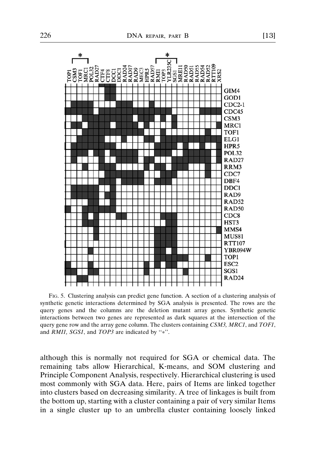<span id="page-13-0"></span>

FIG. 5. Clustering analysis can predict gene function. A section of a clustering analysis of synthetic genetic interactions determined by SGA analysis is presented. The rows are the query genes and the columns are the deletion mutant array genes. Synthetic genetic interactions between two genes are represented as dark squares at the intersection of the query gene row and the array gene column. The clusters containing CSM3, MRC1, and TOF1, and *RMI1*, *SGS1*, and *TOP3* are indicated by "\*".

although this is normally not required for SGA or chemical data. The remaining tabs allow Hierarchical, K‐means, and SOM clustering and Principle Component Analysis, respectively. Hierarchical clustering is used most commonly with SGA data. Here, pairs of Items are linked together into clusters based on decreasing similarity. A tree of linkages is built from the bottom up, starting with a cluster containing a pair of very similar Items in a single cluster up to an umbrella cluster containing loosely linked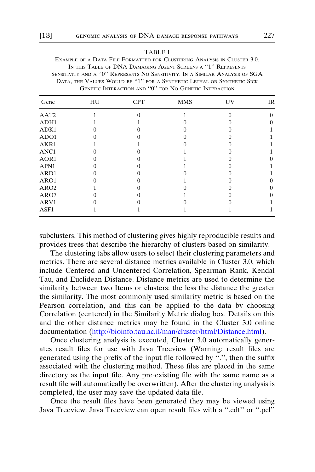|--|

<span id="page-14-0"></span>EXAMPLE OF A DATA FILE FORMATTED FOR CLUSTERING ANALYSIS IN CLUSTER 3.0. IN THIS TABLE OF DNA DAMAGING AGENT SCREENS A ''1'' REPRESENTS SENSITIVITY AND A ''0'' REPRESENTS NO SENSITIVITY. IN A SIMILAR ANALYSIS OF SGA DATA, THE VALUES WOULD BE "1" FOR A SYNTHETIC LETHAL OR SYNTHETIC SICK GENETIC INTERACTION AND ''0'' FOR NO GENETIC INTERACTION

| Gene             | HU | <b>CPT</b> | <b>MMS</b> | UV | <b>IR</b> |
|------------------|----|------------|------------|----|-----------|
| AAT <sub>2</sub> |    |            |            | ∩  | 0         |
| ADH1             |    |            |            |    |           |
| ADK1             |    |            |            |    |           |
| ADO1             |    |            |            |    |           |
| AKR1             |    |            |            |    |           |
| ANC1             |    |            |            |    |           |
| AOR1             |    |            |            |    |           |
| APN1             |    |            |            |    |           |
| ARD1             |    |            |            |    |           |
| ARO1             |    |            |            |    |           |
| ARO <sub>2</sub> |    |            |            |    |           |
| ARO7             |    |            |            |    |           |
| ARV1             |    |            |            |    |           |
| ASF1             |    |            |            |    |           |

subclusters. This method of clustering gives highly reproducible results and provides trees that describe the hierarchy of clusters based on similarity.

The clustering tabs allow users to select their clustering parameters and metrics. There are several distance metrics available in Cluster 3.0, which include Centered and Uncentered Correlation, Spearman Rank, Kendal Tau, and Euclidean Distance. Distance metrics are used to determine the similarity between two Items or clusters: the less the distance the greater the similarity. The most commonly used similarity metric is based on the Pearson correlation, and this can be applied to the data by choosing Correlation (centered) in the Similarity Metric dialog box. Details on this and the other distance metrics may be found in the Cluster 3.0 online documentation [\(http://bioinfo.tau.ac.il/man/cluster/html/Distance.html\)](http://bioinfo.tau.ac.il/man/cluster/ht ml/Distance.html).

Once clustering analysis is executed, Cluster 3.0 automatically generates result files for use with Java Treeview (Warning: result files are generated using the prefix of the input file followed by ''.'', then the suffix associated with the clustering method. These files are placed in the same directory as the input file. Any pre‐existing file with the same name as a result file will automatically be overwritten). After the clustering analysis is completed, the user may save the updated data file.

Once the result files have been generated they may be viewed using Java Treeview. Java Treeview can open result files with a ''.cdt'' or ''.pcl''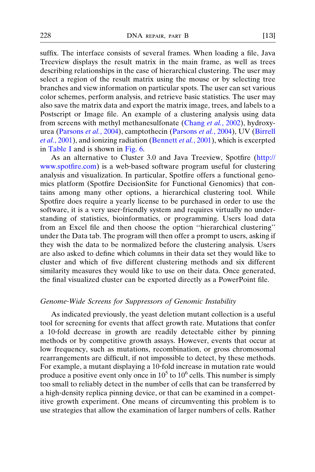suffix. The interface consists of several frames. When loading a file, Java Treeview displays the result matrix in the main frame, as well as trees describing relationships in the case of hierarchical clustering. The user may select a region of the result matrix using the mouse or by selecting tree branches and view information on particular spots. The user can set various color schemes, perform analysis, and retrieve basic statistics. The user may also save the matrix data and export the matrix image, trees, and labels to a Postscript or Image file. An example of a clustering analysis using data from screens with methyl methanesulfonate ([Chang](#page-20-0) et al., 2002), hydroxyurea ([Parsons](#page-21-0) et al., 2004), camptothecin [\(Parsons](#page-21-0) et al., 2004), UV ([Birrell](#page-20-0)  $et al., 2001$  $et al., 2001$ ), and ionizing radiation [\(Bennett](#page-20-0)  $et al., 2001$ ), which is excerpted in [Table I](#page-14-0) and is shown in [Fig. 6.](#page-16-0)

As an alternative to Cluster 3.0 and Java Treeview, Spotfire ([http://](http://www.spotfire.com) [www.spotfire.com\)](http://www.spotfire.com) is a web-based software program useful for clustering analysis and visualization. In particular, Spotfire offers a functional genomics platform (Spotfire DecisionSite for Functional Genomics) that contains among many other options, a hierarchical clustering tool. While Spotfire does require a yearly license to be purchased in order to use the software, it is a very user-friendly system and requires virtually no understanding of statistics, bioinformatics, or programming. Users load data from an Excel file and then choose the option ''hierarchical clustering'' under the Data tab. The program will then offer a prompt to users, asking if they wish the data to be normalized before the clustering analysis. Users are also asked to define which columns in their data set they would like to cluster and which of five different clustering methods and six different similarity measures they would like to use on their data. Once generated, the final visualized cluster can be exported directly as a PowerPoint file.

## Genome‐Wide Screens for Suppressors of Genomic Instability

As indicated previously, the yeast deletion mutant collection is a useful tool for screening for events that affect growth rate. Mutations that confer a 10‐fold decrease in growth are readily detectable either by pinning methods or by competitive growth assays. However, events that occur at low frequency, such as mutations, recombination, or gross chromosomal rearrangements are difficult, if not impossible to detect, by these methods. For example, a mutant displaying a 10‐fold increase in mutation rate would produce a positive event only once in  $10^5$  to  $10^6$  cells. This number is simply too small to reliably detect in the number of cells that can be transferred by a high-density replica pinning device, or that can be examined in a competitive growth experiment. One means of circumventing this problem is to use strategies that allow the examination of larger numbers of cells. Rather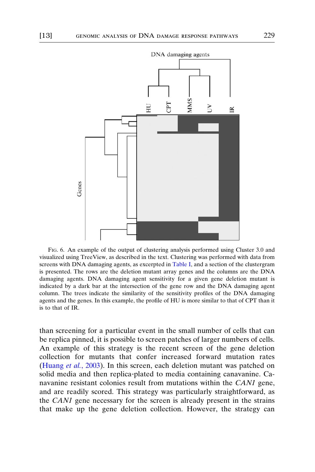<span id="page-16-0"></span>

FIG. 6. An example of the output of clustering analysis performed using Cluster 3.0 and visualized using TreeView, as described in the text. Clustering was performed with data from screens with DNA damaging agents, as excerpted in [Table I,](#page-14-0) and a section of the clustergram is presented. The rows are the deletion mutant array genes and the columns are the DNA damaging agents. DNA damaging agent sensitivity for a given gene deletion mutant is indicated by a dark bar at the intersection of the gene row and the DNA damaging agent column. The trees indicate the similarity of the sensitivity profiles of the DNA damaging agents and the genes. In this example, the profile of HU is more similar to that of CPT than it is to that of IR.

than screening for a particular event in the small number of cells that can be replica pinned, it is possible to screen patches of larger numbers of cells. An example of this strategy is the recent screen of the gene deletion collection for mutants that confer increased forward mutation rates ([Huang](#page-21-0) et al., 2003). In this screen, each deletion mutant was patched on solid media and then replica‐plated to media containing canavanine. Canavanine resistant colonies result from mutations within the CAN1 gene, and are readily scored. This strategy was particularly straightforward, as the CAN1 gene necessary for the screen is already present in the strains that make up the gene deletion collection. However, the strategy can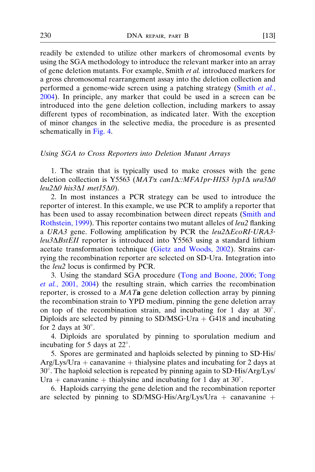readily be extended to utilize other markers of chromosomal events by using the SGA methodology to introduce the relevant marker into an array of gene deletion mutants. For example, Smith et al. introduced markers for a gross chromosomal rearrangement assay into the deletion collection and performed a genome-wide screen using a patching strategy ([Smith](#page-22-0) et al., [2004\)](#page-22-0). In principle, any marker that could be used in a screen can be introduced into the gene deletion collection, including markers to assay different types of recombination, as indicated later. With the exception of minor changes in the selective media, the procedure is as presented schematically in [Fig. 4](#page-11-0).

## Using SGA to Cross Reporters into Deletion Mutant Arrays

1. The strain that is typically used to make crosses with the gene deletion collection is Y5563 (MATa can1∆::MFA1pr-HIS3 lyp1∆ ura3∆0 leu2 $\Delta$ 0 his3 $\Delta$ 1 met15 $\Delta$ 0).

2. In most instances a PCR strategy can be used to introduce the reporter of interest. In this example, we use PCR to amplify a reporter that has been used to assay recombination between direct repeats ([Smith and](#page-22-0) [Rothstein, 1999\)](#page-22-0). This reporter contains two mutant alleles of leu2 flanking a URA3 gene. Following amplification by PCR the leu2 $\Delta E \text{coRI-URA3}$  $leu3\Delta B$ stEII reporter is introduced into Y5563 using a standard lithium acetate transformation technique [\(Gietz and Woods, 2002](#page-21-0)). Strains carrying the recombination reporter are selected on SD‐Ura. Integration into the leu2 locus is confirmed by PCR.

3. Using the standard SGA procedure (Tong and [Boone,](#page-22-0) 2006; Tong et al.[, 2001, 2004\)](#page-22-0) the resulting strain, which carries the recombination reporter, is crossed to a MATa gene deletion collection array by pinning the recombination strain to YPD medium, pinning the gene deletion array on top of the recombination strain, and incubating for 1 day at  $30^{\circ}$ . Diploids are selected by pinning to  $SD/MSG-Ura + G418$  and incubating for 2 days at 30 .

4. Diploids are sporulated by pinning to sporulation medium and incubating for 5 days at 22 .

5. Spores are germinated and haploids selected by pinning to SD‐His/  $Arg/Lys/Ura + canavanine + thialysine plates and incubating for 2 days at$ 30 . The haploid selection is repeated by pinning again to SD‐His/Arg/Lys/ Ura + canavanine + thialysine and incubating for 1 day at  $30^{\circ}$ .

6. Haploids carrying the gene deletion and the recombination reporter are selected by pinning to SD/MSG-His/Arg/Lys/Ura + canavanine  $+$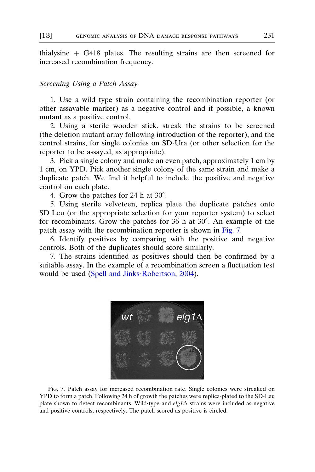thialysine  $+$  G418 plates. The resulting strains are then screened for increased recombination frequency.

## Screening Using a Patch Assay

1. Use a wild type strain containing the recombination reporter (or other assayable marker) as a negative control and if possible, a known mutant as a positive control.

2. Using a sterile wooden stick, streak the strains to be screened (the deletion mutant array following introduction of the reporter), and the control strains, for single colonies on SD‐Ura (or other selection for the reporter to be assayed, as appropriate).

3. Pick a single colony and make an even patch, approximately 1 cm by 1 cm, on YPD. Pick another single colony of the same strain and make a duplicate patch. We find it helpful to include the positive and negative control on each plate.

4. Grow the patches for 24 h at 30 .

5. Using sterile velveteen, replica plate the duplicate patches onto SD-Leu (or the appropriate selection for your reporter system) to select for recombinants. Grow the patches for 36 h at 30 . An example of the patch assay with the recombination reporter is shown in Fig. 7.

6. Identify positives by comparing with the positive and negative controls. Both of the duplicates should score similarly.

7. The strains identified as positives should then be confirmed by a suitable assay. In the example of a recombination screen a fluctuation test would be used (Spell and Jinks-[Robertson, 2004\)](#page-22-0).



FIG. 7. Patch assay for increased recombination rate. Single colonies were streaked on YPD to form a patch. Following 24 h of growth the patches were replica-plated to the SD-Leu plate shown to detect recombinants. Wild-type and  $elg1\Delta$  strains were included as negative and positive controls, respectively. The patch scored as positive is circled.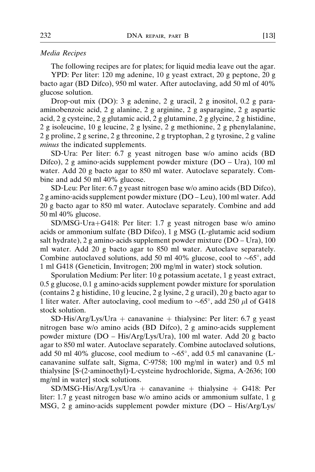## Media Recipes

The following recipes are for plates; for liquid media leave out the agar.

YPD: Per liter: 120 mg adenine, 10 g yeast extract, 20 g peptone, 20 g bacto agar (BD Difco), 950 ml water. After autoclaving, add 50 ml of 40% glucose solution.

Drop-out mix (DO): 3 g adenine, 2 g uracil, 2 g inositol, 0.2 g paraaminobenzoic acid, 2 g alanine, 2 g arginine, 2 g asparagine, 2 g aspartic acid, 2 g cysteine, 2 g glutamic acid, 2 g glutamine, 2 g glycine, 2 g histidine, 2 g isoleucine, 10 g leucine, 2 g lysine, 2 g methionine, 2 g phenylalanine, 2 g proline, 2 g serine, 2 g threonine, 2 g tryptophan, 2 g tyrosine, 2 g valine minus the indicated supplements.

SD‐Ura: Per liter: 6.7 g yeast nitrogen base w/o amino acids (BD Difco), 2 g amino‐acids supplement powder mixture (DO – Ura), 100 ml water. Add 20 g bacto agar to 850 ml water. Autoclave separately. Combine and add 50 ml 40% glucose.

SD‐Leu: Per liter: 6.7 g yeast nitrogen base w/o amino acids (BD Difco), 2 g amino‐acids supplement powder mixture (DO – Leu), 100 ml water. Add 20 g bacto agar to 850 ml water. Autoclave separately. Combine and add 50 ml 40% glucose.

SD/MSG-Ura+G418: Per liter: 1.7 g yeast nitrogen base w/o amino acids or ammonium sulfate (BD Difco), 1 g MSG (L‐glutamic acid sodium salt hydrate), 2 g amino-acids supplement powder mixture (DO – Ura), 100 ml water. Add 20 g bacto agar to 850 ml water. Autoclave separately. Combine autoclaved solutions, add 50 ml 40% glucose, cool to  $\sim 65^{\circ}$ , add 1 ml G418 (Geneticin, Invitrogen; 200 mg/ml in water) stock solution.

Sporulation Medium: Per liter: 10 g potassium acetate, 1 g yeast extract, 0.5 g glucose, 0.1 g amino‐acids supplement powder mixture for sporulation (contains 2 g histidine, 10 g leucine, 2 g lysine, 2 g uracil), 20 g bacto agar to 1 liter water. After autoclaving, cool medium to  $\sim 65^{\circ}$ , add 250  $\mu$ l of G418 stock solution.

SD-His/Arg/Lys/Ura + canavanine + thialysine: Per liter: 6.7 g yeast nitrogen base w/o amino acids (BD Difco), 2 g amino‐acids supplement powder mixture (DO – His/Arg/Lys/Ura), 100 ml water. Add 20 g bacto agar to 850 ml water. Autoclave separately. Combine autoclaved solutions, add 50 ml 40% glucose, cool medium to  $\sim 65^{\circ}$ , add 0.5 ml canavanine (L canavanine sulfate salt, Sigma, C‐9758; 100 mg/ml in water) and 0.5 ml thialysine [S‐(2‐aminoethyl)‐L‐cysteine hydrochloride, Sigma, A‐2636; 100 mg/ml in water] stock solutions.

 $SD/MSG-His/Arg/Lys/Ura + canavanine + thialysine + G418: Per$ liter: 1.7 g yeast nitrogen base w/o amino acids or ammonium sulfate, 1 g MSG, 2 g amino‐acids supplement powder mixture (DO – His/Arg/Lys/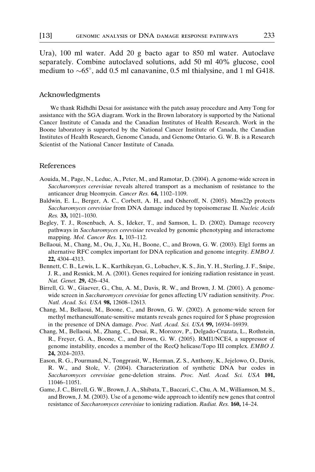<span id="page-20-0"></span>Ura), 100 ml water. Add 20 g bacto agar to 850 ml water. Autoclave separately. Combine autoclaved solutions, add 50 ml 40% glucose, cool medium to  $\sim 65^\circ$ , add 0.5 ml canavanine, 0.5 ml thialysine, and 1 ml G418.

#### Acknowledgments

We thank Ridhdhi Desai for assistance with the patch assay procedure and Amy Tong for assistance with the SGA diagram. Work in the Brown laboratory is supported by the National Cancer Institute of Canada and the Canadian Institutes of Health Research. Work in the Boone laboratory is supported by the National Cancer Institute of Canada, the Canadian Institutes of Health Research, Genome Canada, and Genome Ontario. G. W. B. is a Research Scientist of the National Cancer Institute of Canada.

## References

- Aouida, M., Page, N., Leduc, A., Peter, M., and Ramotar, D. (2004). A genome‐wide screen in Saccharomyces cerevisiae reveals altered transport as a mechanism of resistance to the anticancer drug bleomycin. Cancer Res. 64, 1102–1109.
- Baldwin, E. L., Berger, A. C., Corbett, A. H., and Osheroff, N. (2005). Mms22p protects Saccharomyces cerevisiae from DNA damage induced by topoisomerase II. Nucleic Acids Res. 33, 1021–1030.
- Begley, T. J., Rosenbach, A. S., Ideker, T., and Samson, L. D. (2002). Damage recovery pathways in Saccharomyces cerevisiae revealed by genomic phenotyping and interactome mapping. Mol. Cancer Res. 1, 103-112.
- Bellaoui, M., Chang, M., Ou, J., Xu, H., Boone, C., and Brown, G. W. (2003). Elg1 forms an alternative RFC complex important for DNA replication and genome integrity. EMBO J. 22, 4304–4313.
- Bennett, C. B., Lewis, L. K., Karthikeyan, G., Lobachev, K. S., Jin, Y. H., Sterling, J. F., Snipe, J. R., and Resnick, M. A. (2001). Genes required for ionizing radiation resistance in yeast. Nat. Genet. 29, 426–434.
- Birrell, G. W., Giaever, G., Chu, A. M., Davis, R. W., and Brown, J. M. (2001). A genomewide screen in *Saccharomyces cerevisiae* for genes affecting UV radiation sensitivity. *Proc.* Natl. Acad. Sci. USA 98, 12608-12613.
- Chang, M., Bellaoui, M., Boone, C., and Brown, G. W. (2002). A genome‐wide screen for methyl methanesulfonate‐sensitive mutants reveals genes required for S phase progression in the presence of DNA damage. Proc. Natl. Acad. Sci. USA 99, 16934-16939.
- Chang, M., Bellaoui, M., Zhang, C., Desai, R., Morozov, P., Delgado‐Cruzata, L., Rothstein, R., Freyer, G. A., Boone, C., and Brown, G. W. (2005). RMI1/NCE4, a suppressor of genome instability, encodes a member of the RecQ helicase/Topo III complex. EMBO J. 24, 2024–2033.
- Eason, R. G., Pourmand, N., Tongprasit, W., Herman, Z. S., Anthony, K., Jejelowo, O., Davis, R. W., and Stolc, V. (2004). Characterization of synthetic DNA bar codes in Saccharomyces cerevisiae gene-deletion strains. Proc. Natl. Acad. Sci. USA 101, 11046–11051.
- Game, J. C., Birrell, G. W., Brown, J. A., Shibata, T., Baccari, C., Chu, A. M., Williamson, M. S., and Brown, J. M. (2003). Use of a genome‐wide approach to identify new genes that control resistance of Saccharomyces cerevisiae to ionizing radiation. Radiat. Res. 160, 14–24.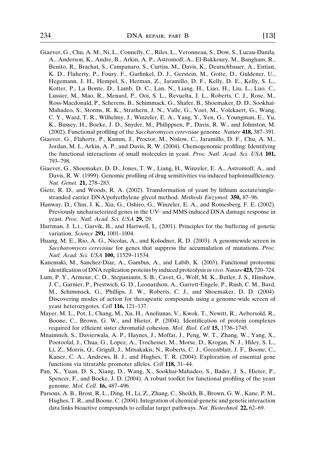- <span id="page-21-0"></span>Giaever, G., Chu, A. M., Ni, L., Connelly, C., Riles, L., Veronneau, S., Dow, S., Lucau-Danila, A., Anderson, K., Andre, B., Arkin, A. P., Astromoff, A., El‐Bakkoury, M., Bangham, R., Benito, R., Brachat, S., Campanaro, S., Curtiss, M., Davis, K., Deutschbauer, A., Entian, K. D., Flaherty, P., Foury, F., Garfinkel, D. J., Gerstein, M., Gotte, D., Guldener, U., Hegemann, J. H., Hempel, S., Herman, Z., Jaramillo, D. F., Kelly, D. E., Kelly, S. L., Kotter, P., La Bonte, D., Lamb, D. C., Lan, N., Liang, H., Liao, H., Liu, L., Luo, C., Lussier, M., Mao, R., Menard, P., Ooi, S. L., Revuelta, J. L., Roberts, C. J., Rose, M., Ross‐Macdonald, P., Scherens, B., Schimmack, G., Shafer, B., Shoemaker, D. D., Sookhai‐ Mahadeo, S., Storms, R. K., Strathern, J. N., Valle, G., Voet, M., Volckaert, G., Wang, C. Y., Ward, T. R., Wilhelmy, J., Winzeler, E. A., Yang, Y., Yen, G., Youngman, E., Yu, K., Bussey, H., Boeke, J. D., Snyder, M., Philippsen, P., Davis, R. W., and Johnston, M. (2002). Functional profiling of the Saccharomyces cerevisiae genome. Nature 418, 387–391.
- Giaever, G., Flaherty, P., Kumm, J., Proctor, M., Nislow, C., Jaramillo, D. F., Chu, A. M., Jordan, M. I., Arkin, A. P., and Davis, R. W. (2004). Chemogenomic profiling: Identifying the functional interactions of small molecules in yeast. Proc. Natl. Acad. Sci. USA 101, 793–798.
- Giaever, G., Shoemaker, D. D., Jones, T. W., Liang, H., Winzeler, E. A., Astromoff, A., and Davis, R. W. (1999). Genomic profiling of drug sensitivities via induced haploinsufficiency. Nat. Genet. 21, 278–283.
- Gietz, R. D., and Woods, R. A. (2002). Transformation of yeast by lithium acetate/single‐ stranded carrier DNA/polyethylene glycol method. Methods Enzymol. 350, 87–96.
- Hanway, D., Chin, J. K., Xia, G., Oshiro, G., Winzeler, E. A., and Romesberg, F. E. (2002). Previously uncharacterized genes in the UV‐ and MMS‐induced DNA damage response in yeast. Proc. Natl. Acad. Sci. USA 29, 29.
- Hartman, J. L.t., Garvik, B., and Hartwell, L. (2001). Principles for the buffering of genetic variation. Science 291, 1001–1004.
- Huang, M. E., Rio, A. G., Nicolas, A., and Kolodner, R. D. (2003). A genomewide screen in Saccharomyces cerevisiae for genes that suppress the accumulation of mutations. Proc. Natl. Acad. Sci. USA 100, 11529–11534.
- Kanemaki, M., Sanchez‐Diaz, A., Gambus, A., and Labib, K. (2003). Functional proteomic identification of DNA replication proteins by induced proteolysis in vivo. Nature 423, 720-724.
- Lum, P. Y., Armour, C. D., Stepaniants, S. B., Cavet, G., Wolf, M. K., Butler, J. S., Hinshaw, J. C., Garnier, P., Prestwich, G. D., Leonardson, A., Garrett‐Engele, P., Rush, C. M., Bard, M., Schimmack, G., Phillips, J. W., Roberts, C. J., and Shoemaker, D. D. (2004). Discovering modes of action for therapeutic compounds using a genome‐wide screen of yeast heterozygotes. Cell 116, 121–137.
- Mayer, M. L., Pot, I., Chang, M., Xu, H., Aneliunas, V., Kwok, T., Newitt, R., Aebersold, R., Boone, C., Brown, G. W., and Hieter, P. (2004). Identification of protein complexes required for efficient sister chromatid cohesion. Mol. Biol. Cell 15, 1736–1745.
- Mnaimneh, S., Davierwala, A. P., Haynes, J., Moffat, J., Peng, W. T., Zhang, W., Yang, X., Pootoolal, J., Chua, G., Lopez, A., Trochesset, M., Morse, D., Krogan, N. J., Hiley, S. L., Li, Z., Morris, Q., Grigull, J., Mitsakakis, N., Roberts, C. J., Greenblatt, J. F., Boone, C., Kaiser, C. A., Andrews, B. J., and Hughes, T. R. (2004). Exploration of essential gene functions via titratable promoter alleles. Cell 118, 31–44.
- Pan, X., Yuan, D. S., Xiang, D., Wang, X., Sookhai‐Mahadeo, S., Bader, J. S., Hieter, P., Spencer, F., and Boeke, J. D. (2004). A robust toolkit for functional profiling of the yeast genome. Mol. Cell. 16, 487-496.
- Parsons, A. B., Brost, R. L., Ding, H., Li, Z., Zhang, C., Sheikh, B., Brown, G. W., Kane, P. M., Hughes, T. R., and Boone, C. (2004). Integration of chemical-genetic and genetic interaction data links bioactive compounds to cellular target pathways. Nat. Biotechnol. 22, 62–69.